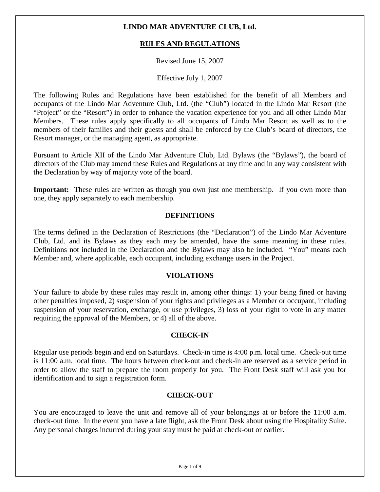## **LINDO MAR ADVENTURE CLUB, Ltd.**

## **RULES AND REGULATIONS**

Revised June 15, 2007

Effective July 1, 2007

The following Rules and Regulations have been established for the benefit of all Members and occupants of the Lindo Mar Adventure Club, Ltd. (the "Club") located in the Lindo Mar Resort (the "Project" or the "Resort") in order to enhance the vacation experience for you and all other Lindo Mar Members. These rules apply specifically to all occupants of Lindo Mar Resort as well as to the members of their families and their guests and shall be enforced by the Club's board of directors, the Resort manager, or the managing agent, as appropriate.

Pursuant to Article XII of the Lindo Mar Adventure Club, Ltd. Bylaws (the "Bylaws"), the board of directors of the Club may amend these Rules and Regulations at any time and in any way consistent with the Declaration by way of majority vote of the board.

**Important:** These rules are written as though you own just one membership. If you own more than one, they apply separately to each membership.

#### **DEFINITIONS**

The terms defined in the Declaration of Restrictions (the "Declaration") of the Lindo Mar Adventure Club, Ltd. and its Bylaws as they each may be amended, have the same meaning in these rules. Definitions not included in the Declaration and the Bylaws may also be included. "You" means each Member and, where applicable, each occupant, including exchange users in the Project.

#### **VIOLATIONS**

Your failure to abide by these rules may result in, among other things: 1) your being fined or having other penalties imposed, 2) suspension of your rights and privileges as a Member or occupant, including suspension of your reservation, exchange, or use privileges, 3) loss of your right to vote in any matter requiring the approval of the Members, or 4) all of the above.

#### **CHECK-IN**

Regular use periods begin and end on Saturdays. Check-in time is 4:00 p.m. local time. Check-out time is 11:00 a.m. local time. The hours between check-out and check-in are reserved as a service period in order to allow the staff to prepare the room properly for you. The Front Desk staff will ask you for identification and to sign a registration form.

#### **CHECK-OUT**

You are encouraged to leave the unit and remove all of your belongings at or before the 11:00 a.m. check-out time. In the event you have a late flight, ask the Front Desk about using the Hospitality Suite. Any personal charges incurred during your stay must be paid at check-out or earlier.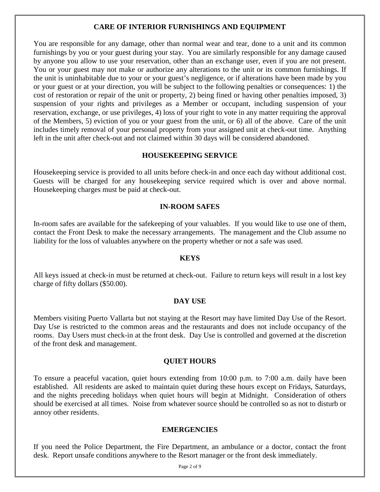## **CARE OF INTERIOR FURNISHINGS AND EQUIPMENT**

You are responsible for any damage, other than normal wear and tear, done to a unit and its common furnishings by you or your guest during your stay. You are similarly responsible for any damage caused by anyone you allow to use your reservation, other than an exchange user, even if you are not present. You or your guest may not make or authorize any alterations to the unit or its common furnishings. If the unit is uninhabitable due to your or your guest's negligence, or if alterations have been made by you or your guest or at your direction, you will be subject to the following penalties or consequences: 1) the cost of restoration or repair of the unit or property, 2) being fined or having other penalties imposed, 3) suspension of your rights and privileges as a Member or occupant, including suspension of your reservation, exchange, or use privileges, 4) loss of your right to vote in any matter requiring the approval of the Members, 5) eviction of you or your guest from the unit, or 6) all of the above. Care of the unit includes timely removal of your personal property from your assigned unit at check-out time. Anything left in the unit after check-out and not claimed within 30 days will be considered abandoned.

#### **HOUSEKEEPING SERVICE**

Housekeeping service is provided to all units before check-in and once each day without additional cost. Guests will be charged for any housekeeping service required which is over and above normal. Housekeeping charges must be paid at check-out.

## **IN-ROOM SAFES**

In-room safes are available for the safekeeping of your valuables. If you would like to use one of them, contact the Front Desk to make the necessary arrangements. The management and the Club assume no liability for the loss of valuables anywhere on the property whether or not a safe was used.

#### **KEYS**

All keys issued at check-in must be returned at check-out. Failure to return keys will result in a lost key charge of fifty dollars (\$50.00).

#### **DAY USE**

Members visiting Puerto Vallarta but not staying at the Resort may have limited Day Use of the Resort. Day Use is restricted to the common areas and the restaurants and does not include occupancy of the rooms. Day Users must check-in at the front desk. Day Use is controlled and governed at the discretion of the front desk and management.

#### **QUIET HOURS**

To ensure a peaceful vacation, quiet hours extending from 10:00 p.m. to 7:00 a.m. daily have been established. All residents are asked to maintain quiet during these hours except on Fridays, Saturdays, and the nights preceding holidays when quiet hours will begin at Midnight. Consideration of others should be exercised at all times. Noise from whatever source should be controlled so as not to disturb or annoy other residents.

#### **EMERGENCIES**

If you need the Police Department, the Fire Department, an ambulance or a doctor, contact the front desk. Report unsafe conditions anywhere to the Resort manager or the front desk immediately.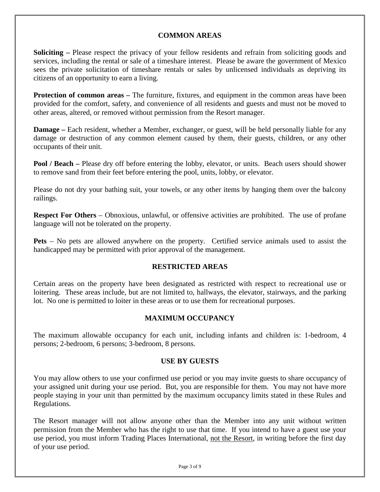## **COMMON AREAS**

**Soliciting –** Please respect the privacy of your fellow residents and refrain from soliciting goods and services, including the rental or sale of a timeshare interest. Please be aware the government of Mexico sees the private solicitation of timeshare rentals or sales by unlicensed individuals as depriving its citizens of an opportunity to earn a living.

**Protection of common areas** – The furniture, fixtures, and equipment in the common areas have been provided for the comfort, safety, and convenience of all residents and guests and must not be moved to other areas, altered, or removed without permission from the Resort manager.

**Damage** – Each resident, whether a Member, exchanger, or guest, will be held personally liable for any damage or destruction of any common element caused by them, their guests, children, or any other occupants of their unit.

**Pool / Beach –** Please dry off before entering the lobby, elevator, or units. Beach users should shower to remove sand from their feet before entering the pool, units, lobby, or elevator.

Please do not dry your bathing suit, your towels, or any other items by hanging them over the balcony railings.

**Respect For Others** – Obnoxious, unlawful, or offensive activities are prohibited. The use of profane language will not be tolerated on the property.

**Pets** – No pets are allowed anywhere on the property. Certified service animals used to assist the handicapped may be permitted with prior approval of the management.

#### **RESTRICTED AREAS**

Certain areas on the property have been designated as restricted with respect to recreational use or loitering. These areas include, but are not limited to, hallways, the elevator, stairways, and the parking lot. No one is permitted to loiter in these areas or to use them for recreational purposes.

#### **MAXIMUM OCCUPANCY**

The maximum allowable occupancy for each unit, including infants and children is: 1-bedroom, 4 persons; 2-bedroom, 6 persons; 3-bedroom, 8 persons.

#### **USE BY GUESTS**

You may allow others to use your confirmed use period or you may invite guests to share occupancy of your assigned unit during your use period. But, you are responsible for them. You may not have more people staying in your unit than permitted by the maximum occupancy limits stated in these Rules and Regulations.

The Resort manager will not allow anyone other than the Member into any unit without written permission from the Member who has the right to use that time. If you intend to have a guest use your use period, you must inform Trading Places International, not the Resort, in writing before the first day of your use period.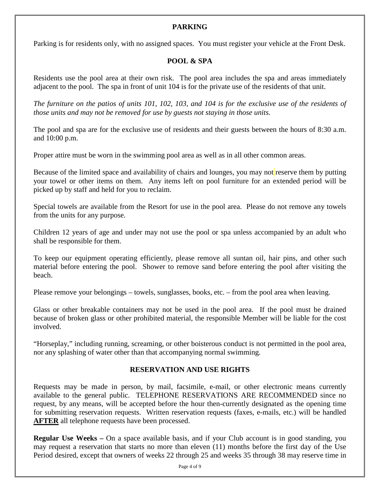## **PARKING**

Parking is for residents only, with no assigned spaces. You must register your vehicle at the Front Desk.

### **POOL & SPA**

Residents use the pool area at their own risk. The pool area includes the spa and areas immediately adjacent to the pool. The spa in front of unit 104 is for the private use of the residents of that unit.

*The furniture on the patios of units 101, 102, 103, and 104 is for the exclusive use of the residents of those units and may not be removed for use by guests not staying in those units.*

The pool and spa are for the exclusive use of residents and their guests between the hours of 8:30 a.m. and 10:00 p.m.

Proper attire must be worn in the swimming pool area as well as in all other common areas.

Because of the limited space and availability of chairs and lounges, you may not reserve them by putting your towel or other items on them. Any items left on pool furniture for an extended period will be picked up by staff and held for you to reclaim.

Special towels are available from the Resort for use in the pool area. Please do not remove any towels from the units for any purpose.

Children 12 years of age and under may not use the pool or spa unless accompanied by an adult who shall be responsible for them.

To keep our equipment operating efficiently, please remove all suntan oil, hair pins, and other such material before entering the pool. Shower to remove sand before entering the pool after visiting the beach.

Please remove your belongings – towels, sunglasses, books, etc. – from the pool area when leaving.

Glass or other breakable containers may not be used in the pool area. If the pool must be drained because of broken glass or other prohibited material, the responsible Member will be liable for the cost involved.

"Horseplay," including running, screaming, or other boisterous conduct is not permitted in the pool area, nor any splashing of water other than that accompanying normal swimming.

#### **RESERVATION AND USE RIGHTS**

Requests may be made in person, by mail, facsimile, e-mail, or other electronic means currently available to the general public. TELEPHONE RESERVATIONS ARE RECOMMENDED since no request, by any means, will be accepted before the hour then-currently designated as the opening time for submitting reservation requests. Written reservation requests (faxes, e-mails, etc.) will be handled **AFTER** all telephone requests have been processed.

**Regular Use Weeks –** On a space available basis, and if your Club account is in good standing, you may request a reservation that starts no more than eleven (11) months before the first day of the Use Period desired, except that owners of weeks 22 through 25 and weeks 35 through 38 may reserve time in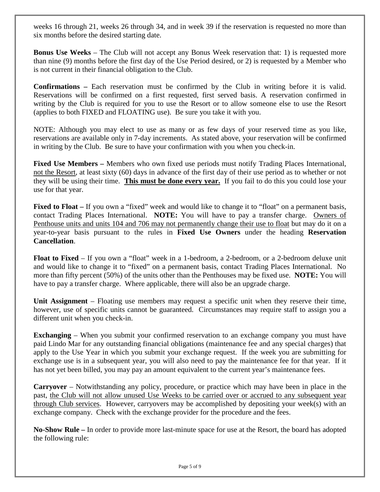weeks 16 through 21, weeks 26 through 34, and in week 39 if the reservation is requested no more than six months before the desired starting date.

**Bonus Use Weeks** – The Club will not accept any Bonus Week reservation that: 1) is requested more than nine (9) months before the first day of the Use Period desired, or 2) is requested by a Member who is not current in their financial obligation to the Club.

**Confirmations –** Each reservation must be confirmed by the Club in writing before it is valid. Reservations will be confirmed on a first requested, first served basis. A reservation confirmed in writing by the Club is required for you to use the Resort or to allow someone else to use the Resort (applies to both FIXED and FLOATING use). Be sure you take it with you.

NOTE: Although you may elect to use as many or as few days of your reserved time as you like, reservations are available only in 7-day increments. As stated above, your reservation will be confirmed in writing by the Club. Be sure to have your confirmation with you when you check-in.

**Fixed Use Members –** Members who own fixed use periods must notify Trading Places International, not the Resort, at least sixty (60) days in advance of the first day of their use period as to whether or not they will be using their time. **This must be done every year.** If you fail to do this you could lose your use for that year.

Fixed to Float – If you own a "fixed" week and would like to change it to "float" on a permanent basis, contact Trading Places International. **NOTE:** You will have to pay a transfer charge. Owners of Penthouse units and units 104 and 706 may not permanently change their use to float but may do it on a year-to-year basis pursuant to the rules in **Fixed Use Owners** under the heading **Reservation Cancellation**.

**Float to Fixed** – If you own a "float" week in a 1-bedroom, a 2-bedroom, or a 2-bedroom deluxe unit and would like to change it to "fixed" on a permanent basis, contact Trading Places International. No more than fifty percent (50%) of the units other than the Penthouses may be fixed use. **NOTE:** You will have to pay a transfer charge. Where applicable, there will also be an upgrade charge.

**Unit Assignment** – Floating use members may request a specific unit when they reserve their time, however, use of specific units cannot be guaranteed. Circumstances may require staff to assign you a different unit when you check-in.

**Exchanging** – When you submit your confirmed reservation to an exchange company you must have paid Lindo Mar for any outstanding financial obligations (maintenance fee and any special charges) that apply to the Use Year in which you submit your exchange request. If the week you are submitting for exchange use is in a subsequent year, you will also need to pay the maintenance fee for that year. If it has not yet been billed, you may pay an amount equivalent to the current year's maintenance fees.

**Carryover** – Notwithstanding any policy, procedure, or practice which may have been in place in the past, the Club will not allow unused Use Weeks to be carried over or accrued to any subsequent year through Club services. However, carryovers may be accomplished by depositing your week(s) with an exchange company. Check with the exchange provider for the procedure and the fees.

**No-Show Rule –** In order to provide more last-minute space for use at the Resort, the board has adopted the following rule: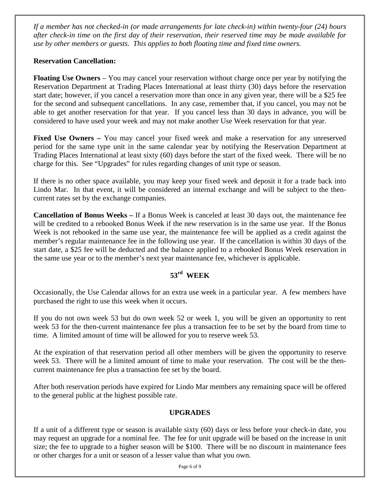*If a member has not checked-in (or made arrangements for late check-in) within twenty-four (24) hours after check-in time on the first day of their reservation, their reserved time may be made available for use by other members or guests. This applies to both floating time and fixed time owners.*

## **Reservation Cancellation:**

**Floating Use Owners** – You may cancel your reservation without charge once per year by notifying the Reservation Department at Trading Places International at least thirty (30) days before the reservation start date; however, if you cancel a reservation more than once in any given year, there will be a \$25 fee for the second and subsequent cancellations. In any case, remember that, if you cancel, you may not be able to get another reservation for that year. If you cancel less than 30 days in advance, you will be considered to have used your week and may not make another Use Week reservation for that year.

**Fixed Use Owners –** You may cancel your fixed week and make a reservation for any unreserved period for the same type unit in the same calendar year by notifying the Reservation Department at Trading Places International at least sixty (60) days before the start of the fixed week. There will be no charge for this. See "Upgrades" for rules regarding changes of unit type or season.

If there is no other space available, you may keep your fixed week and deposit it for a trade back into Lindo Mar. In that event, it will be considered an internal exchange and will be subject to the thencurrent rates set by the exchange companies.

**Cancellation of Bonus Weeks –** If a Bonus Week is canceled at least 30 days out, the maintenance fee will be credited to a rebooked Bonus Week if the new reservation is in the same use year. If the Bonus Week is not rebooked in the same use year, the maintenance fee will be applied as a credit against the member's regular maintenance fee in the following use year. If the cancellation is within 30 days of the start date, a \$25 fee will be deducted and the balance applied to a rebooked Bonus Week reservation in the same use year or to the member's next year maintenance fee, whichever is applicable.

## **53rd WEEK**

Occasionally, the Use Calendar allows for an extra use week in a particular year. A few members have purchased the right to use this week when it occurs.

If you do not own week 53 but do own week 52 or week 1, you will be given an opportunity to rent week 53 for the then-current maintenance fee plus a transaction fee to be set by the board from time to time. A limited amount of time will be allowed for you to reserve week 53.

At the expiration of that reservation period all other members will be given the opportunity to reserve week 53. There will be a limited amount of time to make your reservation. The cost will be the thencurrent maintenance fee plus a transaction fee set by the board.

After both reservation periods have expired for Lindo Mar members any remaining space will be offered to the general public at the highest possible rate.

#### **UPGRADES**

If a unit of a different type or season is available sixty (60) days or less before your check-in date, you may request an upgrade for a nominal fee. The fee for unit upgrade will be based on the increase in unit size; the fee to upgrade to a higher season will be \$100. There will be no discount in maintenance fees or other charges for a unit or season of a lesser value than what you own.

Page 6 of 9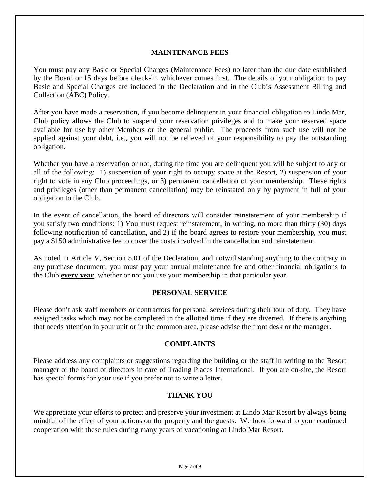### **MAINTENANCE FEES**

You must pay any Basic or Special Charges (Maintenance Fees) no later than the due date established by the Board or 15 days before check-in, whichever comes first. The details of your obligation to pay Basic and Special Charges are included in the Declaration and in the Club's Assessment Billing and Collection (ABC) Policy.

After you have made a reservation, if you become delinquent in your financial obligation to Lindo Mar, Club policy allows the Club to suspend your reservation privileges and to make your reserved space available for use by other Members or the general public. The proceeds from such use will not be applied against your debt, i.e., you will not be relieved of your responsibility to pay the outstanding obligation.

Whether you have a reservation or not, during the time you are delinquent you will be subject to any or all of the following: 1) suspension of your right to occupy space at the Resort, 2) suspension of your right to vote in any Club proceedings, or 3) permanent cancellation of your membership. These rights and privileges (other than permanent cancellation) may be reinstated only by payment in full of your obligation to the Club.

In the event of cancellation, the board of directors will consider reinstatement of your membership if you satisfy two conditions: 1) You must request reinstatement, in writing, no more than thirty (30) days following notification of cancellation, and 2) if the board agrees to restore your membership, you must pay a \$150 administrative fee to cover the costs involved in the cancellation and reinstatement.

As noted in Article V, Section 5.01 of the Declaration, and notwithstanding anything to the contrary in any purchase document, you must pay your annual maintenance fee and other financial obligations to the Club **every year**, whether or not you use your membership in that particular year.

#### **PERSONAL SERVICE**

Please don't ask staff members or contractors for personal services during their tour of duty. They have assigned tasks which may not be completed in the allotted time if they are diverted. If there is anything that needs attention in your unit or in the common area, please advise the front desk or the manager.

#### **COMPLAINTS**

Please address any complaints or suggestions regarding the building or the staff in writing to the Resort manager or the board of directors in care of Trading Places International. If you are on-site, the Resort has special forms for your use if you prefer not to write a letter.

#### **THANK YOU**

We appreciate your efforts to protect and preserve your investment at Lindo Mar Resort by always being mindful of the effect of your actions on the property and the guests. We look forward to your continued cooperation with these rules during many years of vacationing at Lindo Mar Resort.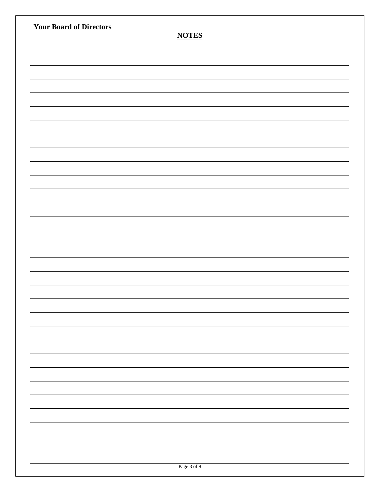| <b>Your Board of Directors</b> | <b>NOTES</b> |
|--------------------------------|--------------|
|                                |              |
|                                |              |
|                                |              |
|                                |              |
|                                |              |
|                                |              |
|                                |              |
|                                |              |
|                                |              |
|                                |              |
|                                |              |
|                                |              |
|                                |              |
|                                |              |
|                                |              |
|                                |              |
|                                |              |
|                                |              |
|                                |              |
|                                |              |
|                                | Page 8 of 9  |